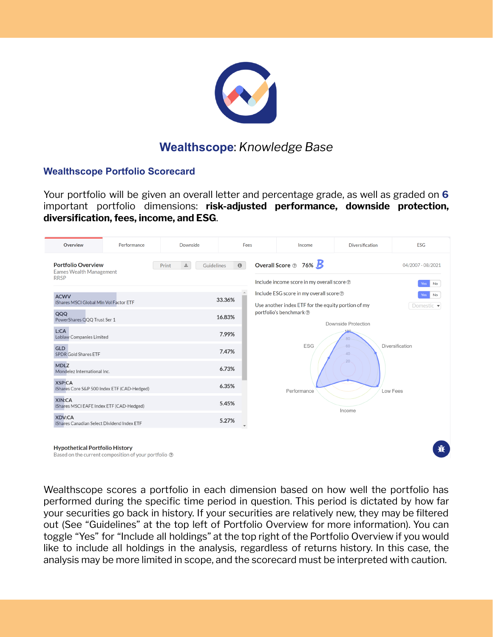

# **Wealthscope**: *Knowledge Base*

#### **Wealthscope Portfolio Scorecard**

Your portfolio will be given an overall letter and percentage grade, as well as graded on **6** important portfolio dimensions: **risk-adjusted performance, downside protection, diversification, fees, income, and ESG**.



Wealthscope scores a portfolio in each dimension based on how well the portfolio has performed during the specific time period in question. This period is dictated by how far your securities go back in history. If your securities are relatively new, they may be filtered out (See "Guidelines" at the top left of Portfolio Overview for more information). You can toggle "Yes" for "Include all holdings" at the top right of the Portfolio Overview if you would like to include all holdings in the analysis, regardless of returns history. In this case, the analysis may be more limited in scope, and the scorecard must be interpreted with caution.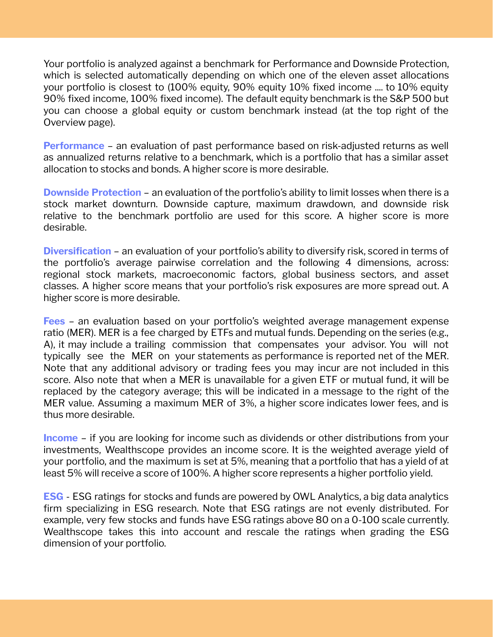Your portfolio is analyzed against a benchmark for Performance and Downside Protection, which is selected automatically depending on which one of the eleven asset allocations your portfolio is closest to (100% equity, 90% equity 10% fixed income .... to 10% equity 90% fixed income, 100% fixed income). The default equity benchmark is the S&P 500 but you can choose a global equity or custom benchmark instead (at the top right of the Overview page).

**Performance** - an evaluation of past performance based on risk-adjusted returns as well as annualized returns relative to a benchmark, which is a portfolio that has a similar asset allocation to stocks and bonds. A higher score is more desirable.

**Downside Protection** – an evaluation of the portfolio's ability to limit losses when there is a stock market downturn. Downside capture, maximum drawdown, and downside risk relative to the benchmark portfolio are used for this score. A higher score is more desirable.

**Diversification** – an evaluation of your portfolio's ability to diversify risk, scored in terms of the portfolio's average pairwise correlation and the following 4 dimensions, across: regional stock markets, macroeconomic factors, global business sectors, and asset classes. A higher score means that your portfolio's risk exposures are more spread out. A higher score is more desirable.

**Fees** – an evaluation based on your portfolio's weighted average management expense ratio (MER). MER is a fee charged by ETFs and mutual funds. Depending on the series (e.g., A), it may include a trailing commission that compensates your advisor. You will not typically see the MER on your statements as performance is reported net of the MER. Note that any additional advisory or trading fees you may incur are not included in this score. Also note that when a MER is unavailable for a given ETF or mutual fund, it will be replaced by the category average; this will be indicated in a message to the right of the MER value. Assuming a maximum MER of 3%, a higher score indicates lower fees, and is thus more desirable.

**Income** – if you are looking for income such as dividends or other distributions from your investments, Wealthscope provides an income score. It is the weighted average yield of your portfolio, and the maximum is set at 5%, meaning that a portfolio that has a yield of at least 5% will receive a score of 100%. A higher score represents a higher portfolio yield.

**ESG** - ESG ratings for stocks and funds are powered by OWL Analytics, a big data analytics firm specializing in ESG research. Note that ESG ratings are not evenly distributed. For example, very few stocks and funds have ESG ratings above 80 on a 0-100 scale currently. Wealthscope takes this into account and rescale the ratings when grading the ESG dimension of your portfolio.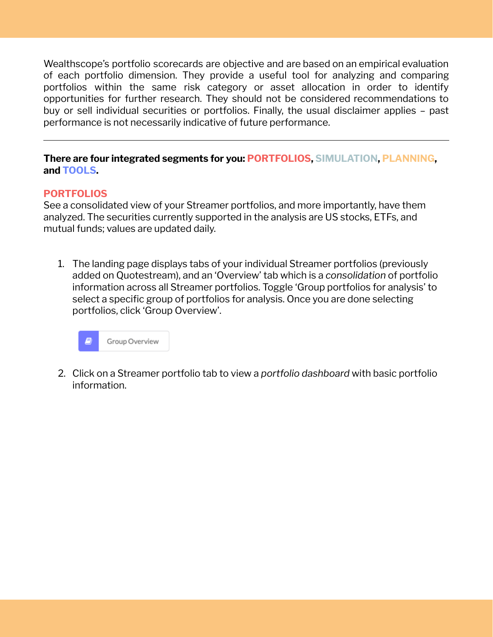Wealthscope's portfolio scorecards are objective and are based on an empirical evaluation of each portfolio dimension. They provide a useful tool for analyzing and comparing portfolios within the same risk category or asset allocation in order to identify opportunities for further research. They should not be considered recommendations to buy or sell individual securities or portfolios. Finally, the usual disclaimer applies – past performance is not necessarily indicative of future performance.

#### **There are four integrated segments for you: PORTFOLIOS, SIMULATION, PLANNING, and TOOLS.**

## **PORTFOLIOS**

See a consolidated view of your Streamer portfolios, and more importantly, have them analyzed. The securities currently supported in the analysis are US stocks, ETFs, and mutual funds; values are updated daily.

1. The landing page displays tabs of your individual Streamer portfolios (previously added on Quotestream), and an 'Overview' tab which is a *consolidation* of portfolio information across all Streamer portfolios. Toggle 'Group portfolios for analysis' to select a specific group of portfolios for analysis. Once you are done selecting portfolios, click 'Group Overview'.

| Group Overview<br>77 |
|----------------------|
|----------------------|

2. Click on a Streamer portfolio tab to view a *portfolio dashboard* with basic portfolio information.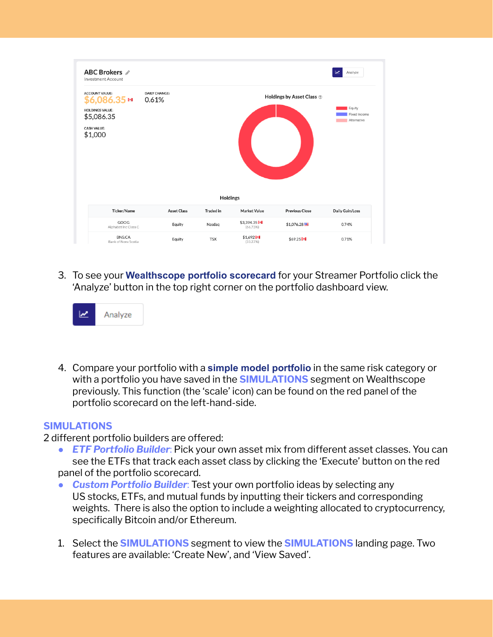

3. To see your **Wealthscope portfolio scorecard** for your Streamer Portfolio click the 'Analyze' button in the top right corner on the portfolio dashboard view.



4. Compare your portfolio with a **simple model portfolio** in the same risk category or with a portfolio you have saved in the **SIMULATIONS** segment on Wealthscope previously. This function (the 'scale' icon) can be found on the red panel of the portfolio scorecard on the left-hand-side.

#### **SIMULATIONS**

- 2 different portfolio builders are offered:
	- *ETF Portfolio Builder*: Pick your own asset mix from different asset classes. You can see the ETFs that track each asset class by clicking the 'Execute' button on the red panel of the portfolio scorecard.
	- *Custom Portfolio Builder*: Test your own portfolio ideas by selecting any US stocks, ETFs, and mutual funds by inputting their tickers and corresponding weights. There is also the option to include a weighting allocated to cryptocurrency, specifically Bitcoin and/or Ethereum.
	- 1. Select the **SIMULATIONS** segment to view the **SIMULATIONS** landing page. Two features are available: 'Create New', and 'View Saved'.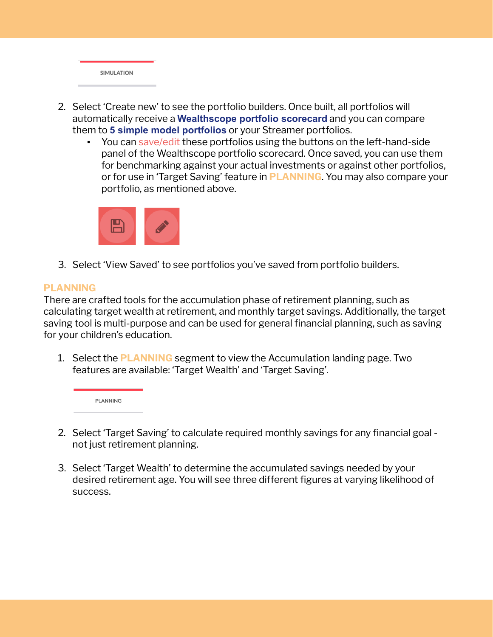

- 2. Select 'Create new' to see the portfolio builders. Once built, all portfolios will automatically receive a **Wealthscope portfolio scorecard** and you can compare them to **5 simple model portfolios** or your Streamer portfolios.
	- You can save/edit these portfolios using the buttons on the left-hand-side panel of the Wealthscope portfolio scorecard. Once saved, you can use them for benchmarking against your actual investments or against other portfolios, or for use in 'Target Saving' feature in **PLANNING**. You may also compare your portfolio, as mentioned above.



3. Select 'View Saved' to see portfolios you've saved from portfolio builders.

## **PLANNING**

There are crafted tools for the accumulation phase of retirement planning, such as calculating target wealth at retirement, and monthly target savings. Additionally, the target saving tool is multi-purpose and can be used for general financial planning, such as saving for your children's education.

1. Select the **PLANNING** segment to view the Accumulation landing page. Two features are available: 'Target Wealth' and 'Target Saving'.

PLANNING

- 2. Select 'Target Saving' to calculate required monthly savings for any financial goal not just retirement planning.
- 3. Select 'Target Wealth' to determine the accumulated savings needed by your desired retirement age. You will see three different figures at varying likelihood of success.